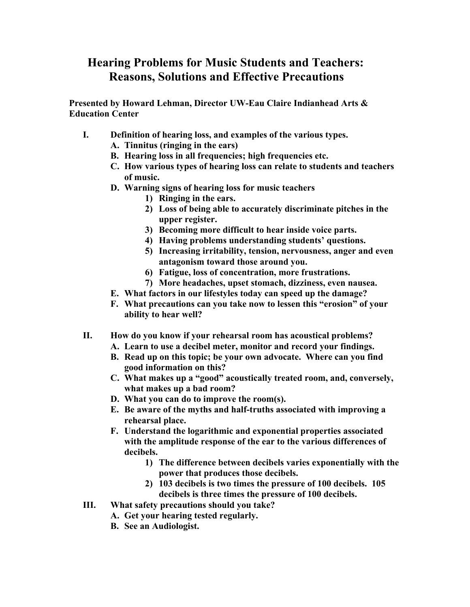## **Hearing Problems for Music Students and Teachers: Reasons, Solutions and Effective Precautions**

**Presented by Howard Lehman, Director UW-Eau Claire Indianhead Arts & Education Center** 

- **I. Definition of hearing loss, and examples of the various types.** 
	- **A. Tinnitus (ringing in the ears)**
	- **B. Hearing loss in all frequencies; high frequencies etc.**
	- **C. How various types of hearing loss can relate to students and teachers of music.**
	- **D. Warning signs of hearing loss for music teachers** 
		- **1) Ringing in the ears.**
		- **2) Loss of being able to accurately discriminate pitches in the upper register.**
		- **3) Becoming more difficult to hear inside voice parts.**
		- **4) Having problems understanding students' questions.**
		- **5) Increasing irritability, tension, nervousness, anger and even antagonism toward those around you.**
		- **6) Fatigue, loss of concentration, more frustrations.**
		- **7) More headaches, upset stomach, dizziness, even nausea.**
	- **E. What factors in our lifestyles today can speed up the damage?**
	- **F. What precautions can you take now to lessen this "erosion" of your ability to hear well?**
- **II. How do you know if your rehearsal room has acoustical problems?** 
	- **A. Learn to use a decibel meter, monitor and record your findings.**
	- **B. Read up on this topic; be your own advocate. Where can you find good information on this?**
	- **C. What makes up a "good" acoustically treated room, and, conversely, what makes up a bad room?**
	- **D. What you can do to improve the room(s).**
	- **E. Be aware of the myths and half-truths associated with improving a rehearsal place.**
	- **F. Understand the logarithmic and exponential properties associated with the amplitude response of the ear to the various differences of decibels.** 
		- **1) The difference between decibels varies exponentially with the power that produces those decibels.**
		- **2) 103 decibels is two times the pressure of 100 decibels. 105 decibels is three times the pressure of 100 decibels.**
- **III. What safety precautions should you take?** 
	- **A. Get your hearing tested regularly.** 
		- **B. See an Audiologist.**